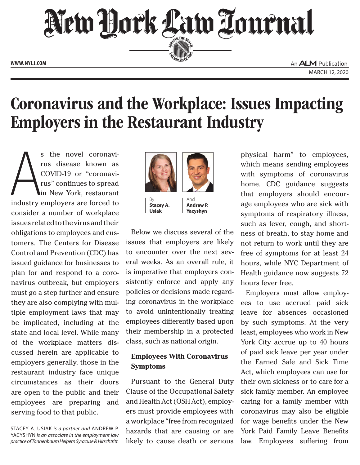

# Coronavirus and the Workplace: Issues Impacting Employers in the Restaurant Industry

s the novel coronavi-<br>
rus disease known as<br>
COVID-19 or "coronavi-<br>
rus" continues to spread<br>
in New York, restaurant<br>
industry employers are forced to s the novel coronavirus disease known as COVID-19 or "coronavirus" continues to spread in New York, restaurant consider a number of workplace issues related to the virus and their obligations to employees and customers. The Centers for Disease Control and Prevention (CDC) has issued guidance for businesses to plan for and respond to a coronavirus outbreak, but employers must go a step further and ensure they are also complying with multiple employment laws that may be implicated, including at the state and local level. While many of the workplace matters discussed herein are applicable to employers generally, those in the restaurant industry face unique circumstances as their doors are open to the public and their employees are preparing and serving food to that public.



By **Stacey A. Usiak**

And **Andrew P. Yacyshyn**

Below we discuss several of the issues that employers are likely to encounter over the next several weeks. As an overall rule, it is imperative that employers consistently enforce and apply any policies or decisions made regarding coronavirus in the workplace to avoid unintentionally treating employees differently based upon their membership in a protected class, such as national origin.

## **Employees With Coronavirus Symptoms**

Pursuant to the General Duty Clause of the Occupational Safety and Health Act (OSH Act), employers must provide employees with a workplace "free from recognized hazards that are causing or are likely to cause death or serious

physical harm" to employees, which means sending employees with symptoms of coronavirus home. CDC guidance suggests that employers should encourage employees who are sick with symptoms of respiratory illness, such as fever, cough, and shortness of breath, to stay home and not return to work until they are free of symptoms for at least 24 hours, while NYC Department of Health guidance now suggests 72 hours fever free.

Employers must allow employees to use accrued paid sick leave for absences occasioned by such symptoms. At the very least, employees who work in New York City accrue up to 40 hours of paid sick leave per year under the Earned Safe and Sick Time Act, which employees can use for their own sickness or to care for a sick family member. An employee caring for a family member with coronavirus may also be eligible for wage benefits under the New York Paid Family Leave Benefits law. Employees suffering from

STACEY A. USIAK is a partner and ANDREW P. Yacyshyn *is an associate in the employment law practice of Tannenbaum Helpern Syracuse & Hirschtritt.*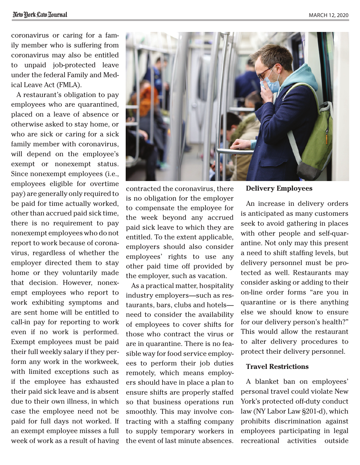coronavirus or caring for a family member who is suffering from coronavirus may also be entitled to unpaid job-protected leave under the federal Family and Medical Leave Act (FMLA).

A restaurant's obligation to pay employees who are quarantined, placed on a leave of absence or otherwise asked to stay home, or who are sick or caring for a sick family member with coronavirus, will depend on the employee's exempt or nonexempt status. Since nonexempt employees (i.e., employees eligible for overtime pay) are generally only required to be paid for time actually worked, other than accrued paid sick time, there is no requirement to pay nonexempt employees who do not report to work because of coronavirus, regardless of whether the employer directed them to stay home or they voluntarily made that decision. However, nonexempt employees who report to work exhibiting symptoms and are sent home will be entitled to call-in pay for reporting to work even if no work is performed. Exempt employees must be paid their full weekly salary if they perform any work in the workweek, with limited exceptions such as if the employee has exhausted their paid sick leave and is absent due to their own illness, in which case the employee need not be paid for full days not worked. If an exempt employee misses a full week of work as a result of having

contracted the coronavirus, there is no obligation for the employer to compensate the employee for the week beyond any accrued paid sick leave to which they are entitled. To the extent applicable, employers should also consider employees' rights to use any other paid time off provided by the employer, such as vacation.

As a practical matter, hospitality industry employers—such as restaurants, bars, clubs and hotels need to consider the availability of employees to cover shifts for those who contract the virus or are in quarantine. There is no feasible way for food service employees to perform their job duties remotely, which means employers should have in place a plan to ensure shifts are properly staffed so that business operations run smoothly. This may involve contracting with a staffing company to supply temporary workers in the event of last minute absences.

## **Delivery Employees**

An increase in delivery orders is anticipated as many customers seek to avoid gathering in places with other people and self-quarantine. Not only may this present a need to shift staffing levels, but delivery personnel must be protected as well. Restaurants may consider asking or adding to their on-line order forms "are you in quarantine or is there anything else we should know to ensure for our delivery person's health?" This would allow the restaurant to alter delivery procedures to protect their delivery personnel.

## **Travel Restrictions**

A blanket ban on employees' personal travel could violate New York's protected off-duty conduct law (NY Labor Law §201-d), which prohibits discrimination against employees participating in legal recreational activities outside